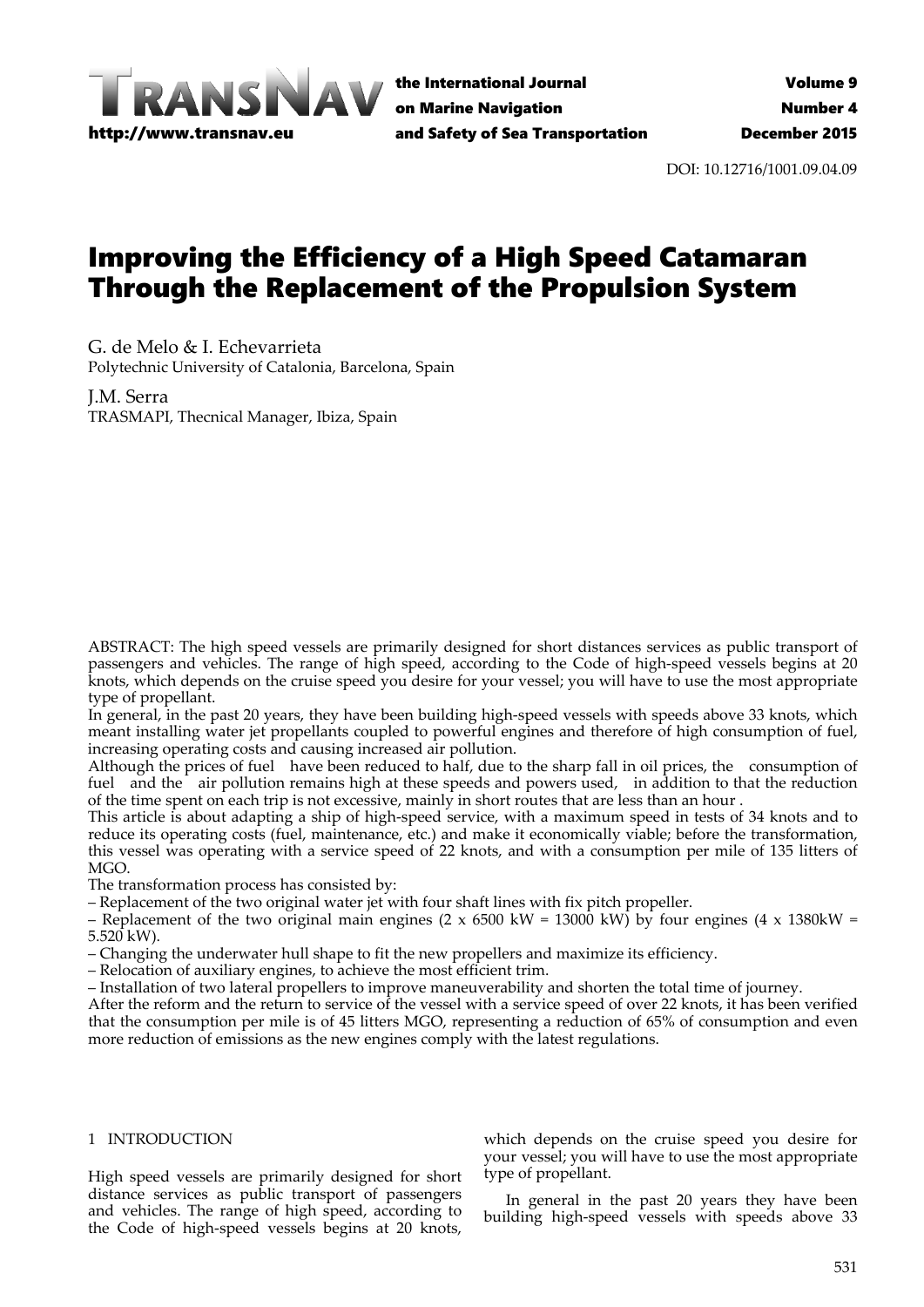

the International Journal on Marine Navigation and Safety of Sea Transportation

DOI: 10.12716/1001.09.04.09

# Improving the Efficiency of a High Speed Catamaran Through the Replacement of the Propulsion System

G. de Melo & I. Echevarrieta Polytechnic University of Catalonia, Barcelona, Spain

J.M. Serra TRASMAPI, Thecnical Manager, Ibiza, Spain

ABSTRACT: The high speed vessels are primarily designed for short distances services as public transport of passengers and vehicles. The range of high speed, according to the Code of high‐speed vessels begins at 20 knots, which depends on the cruise speed you desire for your vessel; you will have to use the most appropriate type of propellant.

In general, in the past 20 years, they have been building high‐speed vessels with speeds above 33 knots, which meant installing water jet propellants coupled to powerful engines and therefore of high consumption of fuel, increasing operating costs and causing increased air pollution.

Although the prices of fuel have been reduced to half, due to the sharp fall in oil prices, the consumption of fuel and the air pollution remains high at these speeds and powers used, in addition to that the reduction of the time spent on each trip is not excessive, mainly in short routes that are less than an hour .

This article is about adapting a ship of high‐speed service, with a maximum speed in tests of 34 knots and to reduce its operating costs (fuel, maintenance, etc.) and make it economically viable; before the transformation, this vessel was operating with a service speed of 22 knots, and with a consumption per mile of 135 litters of  $MGO$ 

The transformation process has consisted by:

– Replacement of the two original water jet with four shaft lines with fix pitch propeller.

– Replacement of the two original main engines (2 x 6500 kW = 13000 kW) by four engines (4 x 1380kW = 5.520 kW).

– Changing the underwater hull shape to fit the new propellers and maximize its efficiency.

– Relocation of auxiliary engines, to achieve the most efficient trim.

– Installation of two lateral propellers to improve maneuverability and shorten the total time of journey.

After the reform and the return to service of the vessel with a service speed of over 22 knots, it has been verified that the consumption per mile is of 45 litters MGO, representing a reduction of 65% of consumption and even more reduction of emissions as the new engines comply with the latest regulations.

#### 1 INTRODUCTION

High speed vessels are primarily designed for short distance services as public transport of passengers and vehicles. The range of high speed, according to the Code of high‐speed vessels begins at 20 knots,

which depends on the cruise speed you desire for your vessel; you will have to use the most appropriate type of propellant.

In general in the past 20 years they have been building high‐speed vessels with speeds above 33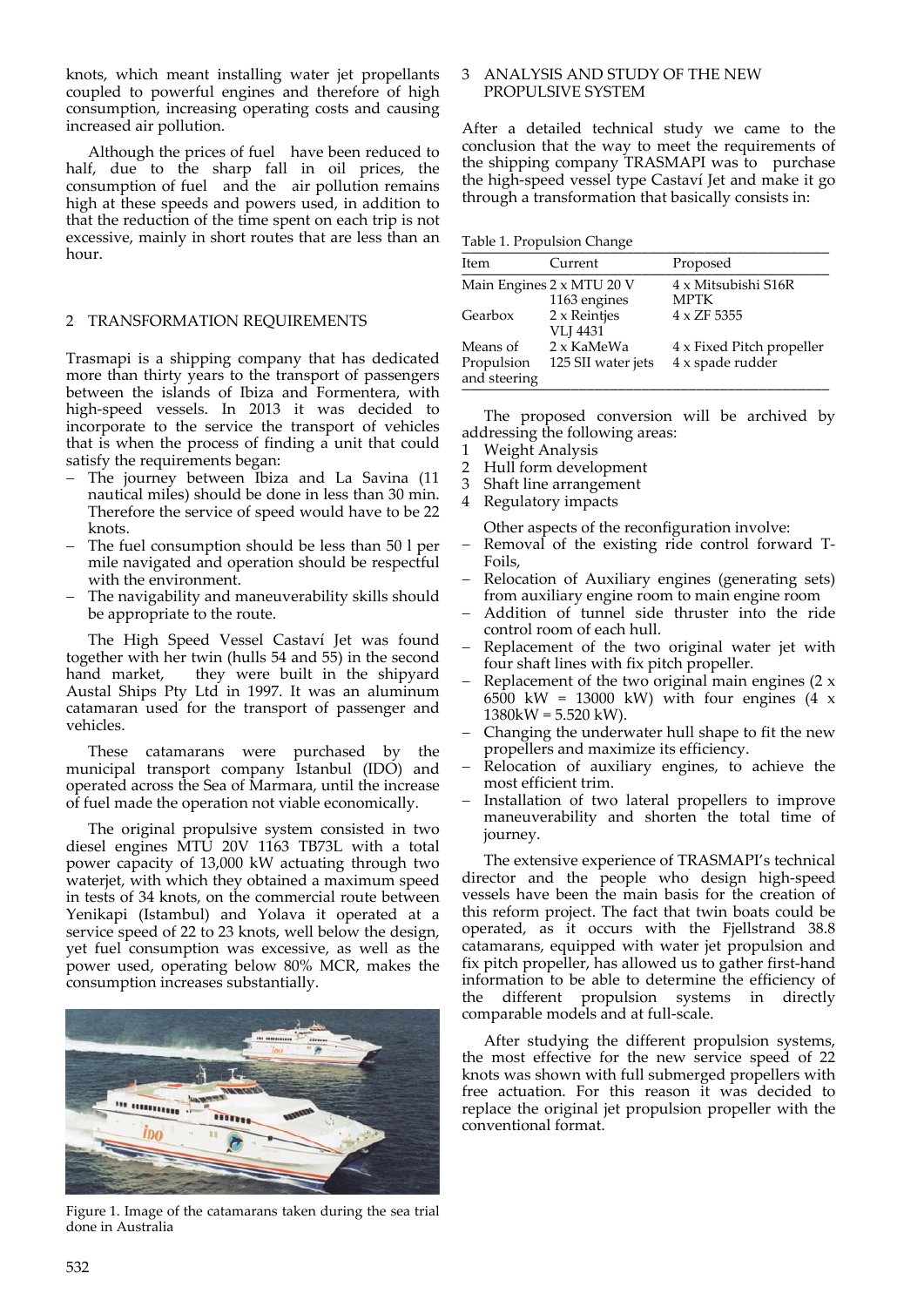knots, which meant installing water jet propellants coupled to powerful engines and therefore of high consumption, increasing operating costs and causing increased air pollution.

Although the prices of fuel have been reduced to half, due to the sharp fall in oil prices, the consumption of fuel and the air pollution remains high at these speeds and powers used, in addition to that the reduction of the time spent on each trip is not excessive, mainly in short routes that are less than an hour.

## 2 TRANSFORMATION REQUIREMENTS

Trasmapi is a shipping company that has dedicated more than thirty years to the transport of passengers between the islands of Ibiza and Formentera, with high‐speed vessels. In 2013 it was decided to incorporate to the service the transport of vehicles that is when the process of finding a unit that could satisfy the requirements began:

- The journey between Ibiza and La Savina (11 nautical miles) should be done in less than 30 min. Therefore the service of speed would have to be 22 knots.
- The fuel consumption should be less than 50 l per mile navigated and operation should be respectful with the environment.
- The navigability and maneuverability skills should be appropriate to the route.

The High Speed Vessel Castaví Jet was found together with her twin (hulls 54 and 55) in the second hand market, they were built in the shipyard Austal Ships Pty Ltd in 1997. It was an aluminum catamaran used for the transport of passenger and vehicles.

These catamarans were purchased by the municipal transport company Istanbul (IDO) and operated across the Sea of Marmara, until the increase of fuel made the operation not viable economically.

The original propulsive system consisted in two diesel engines MTU 20V 1163 TB73L with a total power capacity of 13,000 kW actuating through two waterjet, with which they obtained a maximum speed in tests of 34 knots, on the commercial route between Yenikapi (Istambul) and Yolava it operated at a service speed of 22 to 23 knots, well below the design, yet fuel consumption was excessive, as well as the power used, operating below 80% MCR, makes the consumption increases substantially.



Figure 1. Image of the catamarans taken during the sea trial done in Australia

### 3 ANALYSIS AND STUDY OF THE NEW PROPULSIVE SYSTEM

After a detailed technical study we came to the conclusion that the way to meet the requirements of the shipping company TRASMAPI was to purchase the high‐speed vessel type Castaví Jet and make it go through a transformation that basically consists in:

Table 1. Propulsion Change

| Item                                   | Current                                   | Proposed                                      |
|----------------------------------------|-------------------------------------------|-----------------------------------------------|
|                                        | Main Engines 2 x MTU 20 V<br>1163 engines | 4 x Mitsubishi S16R<br><b>MPTK</b>            |
| Gearbox                                | 2 x Reintjes<br><b>VLI 4431</b>           | $4 \times ZF$ 5355                            |
| Means of<br>Propulsion<br>and steering | 2 x KaMeWa<br>125 SII water jets          | 4 x Fixed Pitch propeller<br>4 x spade rudder |

The proposed conversion will be archived by addressing the following areas:

- 1 Weight Analysis
- 2 Hull form development<br>3 Shaft line arrangement
- 3 Shaft line arrangement
- 4 Regulatory impacts

Other aspects of the reconfiguration involve:

- Removal of the existing ride control forward T‐ Foils,
- Relocation of Auxiliary engines (generating sets) from auxiliary engine room to main engine room
- Addition of tunnel side thruster into the ride control room of each hull.
- Replacement of the two original water jet with four shaft lines with fix pitch propeller.
- Replacement of the two original main engines (2 x 6500 kW = 13000 kW) with four engines  $(4 \times$  $1380$ kW = 5.520 kW).
- Changing the underwater hull shape to fit the new propellers and maximize its efficiency.
- Relocation of auxiliary engines, to achieve the most efficient trim.
- Installation of two lateral propellers to improve maneuverability and shorten the total time of journey.

The extensive experience of TRASMAPI's technical director and the people who design high‐speed vessels have been the main basis for the creation of this reform project. The fact that twin boats could be operated, as it occurs with the Fjellstrand 38.8 catamarans, equipped with water jet propulsion and fix pitch propeller, has allowed us to gather first-hand information to be able to determine the efficiency of the different propulsion systems in directly comparable models and at full‐scale.

After studying the different propulsion systems, the most effective for the new service speed of 22 knots was shown with full submerged propellers with free actuation. For this reason it was decided to replace the original jet propulsion propeller with the conventional format.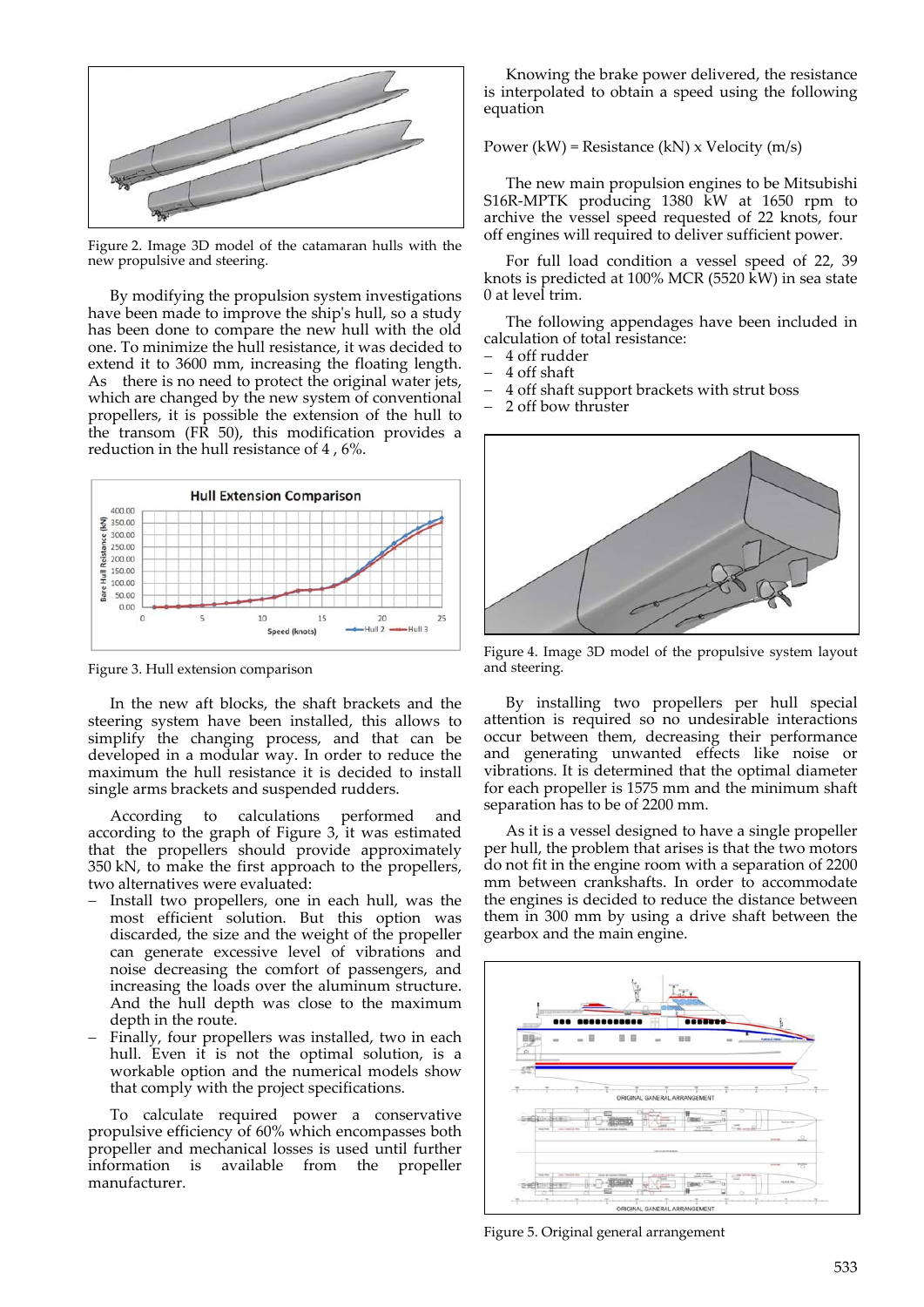

Figure 2. Image 3D model of the catamaran hulls with the new propulsive and steering.

By modifying the propulsion system investigations have been made to improve the shipʹs hull, so a study has been done to compare the new hull with the old one. To minimize the hull resistance, it was decided to extend it to 3600 mm, increasing the floating length. As there is no need to protect the original water jets, which are changed by the new system of conventional propellers, it is possible the extension of the hull to the transom (FR 50), this modification provides a reduction in the hull resistance of 4 , 6%.



Figure 3. Hull extension comparison

In the new aft blocks, the shaft brackets and the steering system have been installed, this allows to simplify the changing process, and that can be developed in a modular way. In order to reduce the maximum the hull resistance it is decided to install single arms brackets and suspended rudders.

According to calculations performed and according to the graph of Figure 3, it was estimated that the propellers should provide approximately 350 kN, to make the first approach to the propellers, two alternatives were evaluated:

- Install two propellers, one in each hull, was the most efficient solution. But this option was discarded, the size and the weight of the propeller can generate excessive level of vibrations and noise decreasing the comfort of passengers, and increasing the loads over the aluminum structure. And the hull depth was close to the maximum depth in the route.
- Finally, four propellers was installed, two in each hull. Even it is not the optimal solution, is a workable option and the numerical models show that comply with the project specifications.

To calculate required power a conservative propulsive efficiency of 60% which encompasses both propeller and mechanical losses is used until further information is available from the propeller manufacturer.

Knowing the brake power delivered, the resistance is interpolated to obtain a speed using the following equation

Power (kW) = Resistance (kN) x Velocity (m/s)

The new main propulsion engines to be Mitsubishi S16R‐MPTK producing 1380 kW at 1650 rpm to archive the vessel speed requested of 22 knots, four off engines will required to deliver sufficient power.

For full load condition a vessel speed of 22, 39 knots is predicted at 100% MCR (5520 kW) in sea state 0 at level trim.

The following appendages have been included in calculation of total resistance:

- 4 off rudder
- 4 off shaft
- 4 off shaft support brackets with strut boss
- 2 off bow thruster



Figure 4. Image 3D model of the propulsive system layout and steering.

By installing two propellers per hull special attention is required so no undesirable interactions occur between them, decreasing their performance and generating unwanted effects like noise or vibrations. It is determined that the optimal diameter for each propeller is 1575 mm and the minimum shaft separation has to be of 2200 mm.

As it is a vessel designed to have a single propeller per hull, the problem that arises is that the two motors do not fit in the engine room with a separation of 2200 mm between crankshafts. In order to accommodate the engines is decided to reduce the distance between them in 300 mm by using a drive shaft between the gearbox and the main engine.



Figure 5. Original general arrangement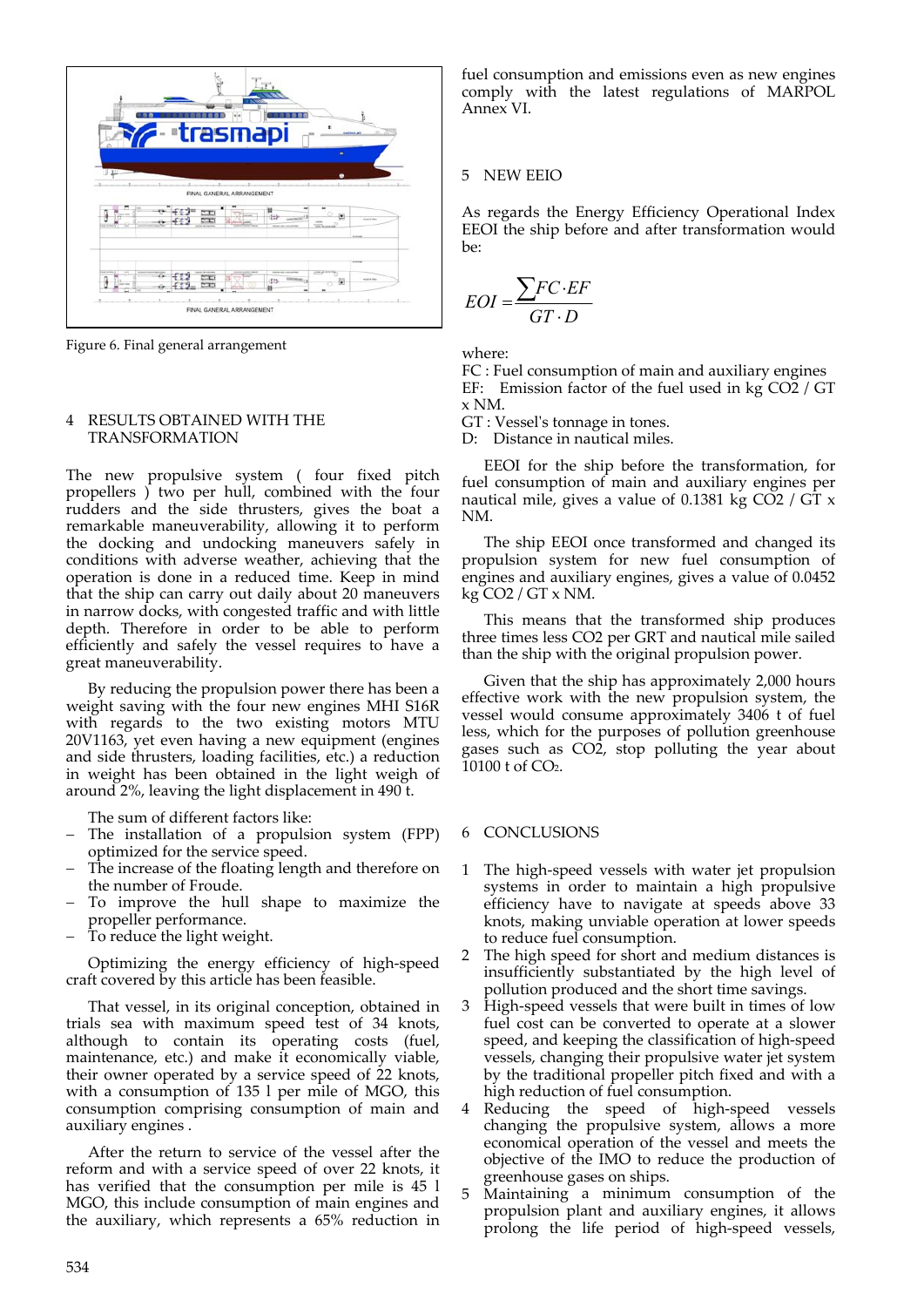

Figure 6. Final general arrangement

### 4 RESULTS OBTAINED WITH THE TRANSFORMATION

The new propulsive system ( four fixed pitch propellers ) two per hull, combined with the four rudders and the side thrusters, gives the boat a remarkable maneuverability, allowing it to perform the docking and undocking maneuvers safely in conditions with adverse weather, achieving that the operation is done in a reduced time. Keep in mind that the ship can carry out daily about 20 maneuvers in narrow docks, with congested traffic and with little depth. Therefore in order to be able to perform efficiently and safely the vessel requires to have a great maneuverability.

By reducing the propulsion power there has been a weight saving with the four new engines MHI S16R with regards to the two existing motors MTU 20V1163, yet even having a new equipment (engines and side thrusters, loading facilities, etc.) a reduction in weight has been obtained in the light weigh of around 2%, leaving the light displacement in 490 t.

The sum of different factors like:

- The installation of a propulsion system (FPP) optimized for the service speed.
- The increase of the floating length and therefore on the number of Froude.
- To improve the hull shape to maximize the propeller performance.
- To reduce the light weight.

Optimizing the energy efficiency of high‐speed craft covered by this article has been feasible.

That vessel, in its original conception, obtained in trials sea with maximum speed test of 34 knots, although to contain its operating costs (fuel, maintenance, etc.) and make it economically viable, their owner operated by a service speed of 22 knots, with a consumption of 135 l per mile of MGO, this consumption comprising consumption of main and auxiliary engines .

After the return to service of the vessel after the reform and with a service speed of over 22 knots, it has verified that the consumption per mile is 45 l MGO, this include consumption of main engines and the auxiliary, which represents a 65% reduction in fuel consumption and emissions even as new engines comply with the latest regulations of MARPOL Annex VI.

# 5 NEW EEIO

As regards the Energy Efficiency Operational Index EEOI the ship before and after transformation would be:

$$
EOI = \frac{\sum FC \cdot EF}{GT \cdot D}
$$

where:

FC : Fuel consumption of main and auxiliary engines EF: Emission factor of the fuel used in kg CO2 / GT x NM.

GT : Vesselʹs tonnage in tones.

D: Distance in nautical miles.

EEOI for the ship before the transformation, for fuel consumption of main and auxiliary engines per nautical mile, gives a value of 0.1381 kg  $CO2 / GT \times$ NM.

The ship EEOI once transformed and changed its propulsion system for new fuel consumption of engines and auxiliary engines, gives a value of 0.0452  $kg CO2 / GT x NM.$ 

This means that the transformed ship produces three times less CO2 per GRT and nautical mile sailed than the ship with the original propulsion power.

Given that the ship has approximately 2,000 hours effective work with the new propulsion system, the vessel would consume approximately 3406 t of fuel less, which for the purposes of pollution greenhouse gases such as CO2, stop polluting the year about 10100 t of CO2.

#### 6 CONCLUSIONS

- The high-speed vessels with water jet propulsion systems in order to maintain a high propulsive efficiency have to navigate at speeds above 33 knots, making unviable operation at lower speeds to reduce fuel consumption.
- 2 The high speed for short and medium distances is insufficiently substantiated by the high level of pollution produced and the short time savings.
- 3 High‐speed vessels that were built in times of low fuel cost can be converted to operate at a slower speed, and keeping the classification of high‐speed vessels, changing their propulsive water jet system by the traditional propeller pitch fixed and with a high reduction of fuel consumption.
- 4 Reducing the speed of high‐speed vessels changing the propulsive system, allows a more economical operation of the vessel and meets the objective of the IMO to reduce the production of greenhouse gases on ships.
- 5 Maintaining a minimum consumption of the propulsion plant and auxiliary engines, it allows prolong the life period of high‐speed vessels,